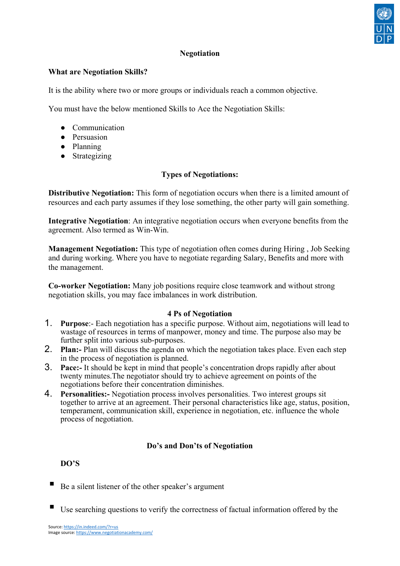

## **Negotiation**

#### **What are Negotiation Skills?**

It is the ability where two or more groups or individuals reach a common objective.

You must have the below mentioned Skills to Ace the Negotiation Skills:

- Communication
- Persuasion
- Planning
- Strategizing

### **Types of Negotiations:**

**Distributive Negotiation:** This form of negotiation occurs when there is a limited amount of resources and each party assumes if they lose something, the other party will gain something.

**Integrative Negotiation**: An integrative negotiation occurs when everyone benefits from the agreement. Also termed as Win-Win.

**Management Negotiation:** This type of negotiation often comes during Hiring , Job Seeking and during working. Where you have to negotiate regarding Salary, Benefits and more with the management.

**Co-worker Negotiation:** Many job positions require close teamwork and without strong negotiation skills, you may face imbalances in work distribution.

### **4 Ps of Negotiation**

- 1. **Purpose**:- Each negotiation has a specific purpose. Without aim, negotiations will lead to wastage of resources in terms of manpower, money and time. The purpose also may be further split into various sub-purposes.
- 2. **Plan:-** Plan will discuss the agenda on which the negotiation takes place. Even each step in the process of negotiation is planned.
- 3. **Pace:-** It should be kept in mind that people's concentration drops rapidly after about twenty minutes.The negotiator should try to achieve agreement on points of the negotiations before their concentration diminishes.
- 4. **Personalities:-** Negotiation process involves personalities. Two interest groups sit together to arrive at an agreement. Their personal characteristics like age, status, position, temperament, communication skill, experience in negotiation, etc. influence the whole process of negotiation.

### **Do's and Don'ts of Negotiation**

### **DO'S**

- Be a silent listener of the other speaker's argument
- Use searching questions to verify the correctness of factual information offered by the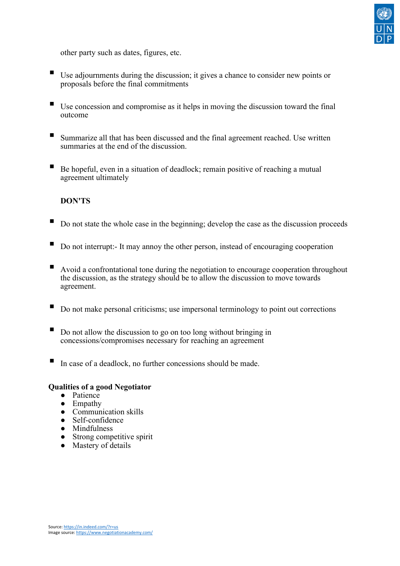

other party such as dates, figures, etc.

- Use adjournments during the discussion; it gives a chance to consider new points or proposals before the final commitments
- Use concession and compromise as it helps in moving the discussion toward the final outcome
- Summarize all that has been discussed and the final agreement reached. Use written summaries at the end of the discussion.
- Be hopeful, even in a situation of deadlock; remain positive of reaching a mutual agreement ultimately

#### **DON'TS**

- Do not state the whole case in the beginning; develop the case as the discussion proceeds
- $\blacksquare$  Do not interrupt:- It may annoy the other person, instead of encouraging cooperation
- Avoid a confrontational tone during the negotiation to encourage cooperation throughout the discussion, as the strategy should be to allow the discussion to move towards agreement.
- Do not make personal criticisms; use impersonal terminology to point out corrections
- Do not allow the discussion to go on too long without bringing in concessions/compromises necessary for reaching an agreement
- In case of a deadlock, no further concessions should be made.

## **Qualities of a good Negotiator**

- Patience
- Empathy
- Communication skills
- Self-confidence
- Mindfulness
- Strong competitive spirit
- Mastery of details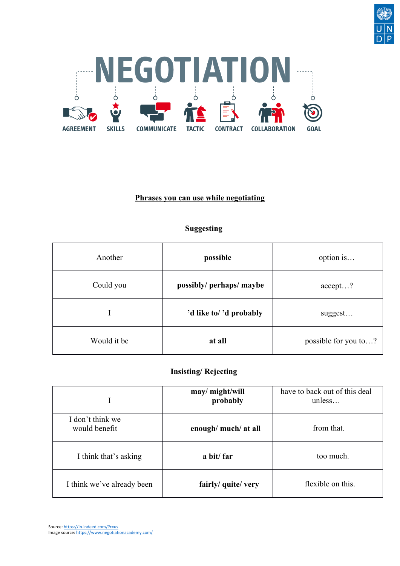



## **Phrases you can use while negotiating**

## **Suggesting**

| Another     | possible                 | option is            |
|-------------|--------------------------|----------------------|
| Could you   | possibly/ perhaps/ maybe | accept?              |
| I           | 'd like to/ 'd probably  | suggest              |
| Would it be | at all                   | possible for you to? |

### **Insisting/ Rejecting**

|                                   | may/ might/will<br>probably | have to back out of this deal<br>unless |
|-----------------------------------|-----------------------------|-----------------------------------------|
| I don't think we<br>would benefit | enough/ much/ at all        | from that.                              |
| I think that's asking             | a bit/ far                  | too much.                               |
| I think we've already been        | fairly/ quite/ very         | flexible on this.                       |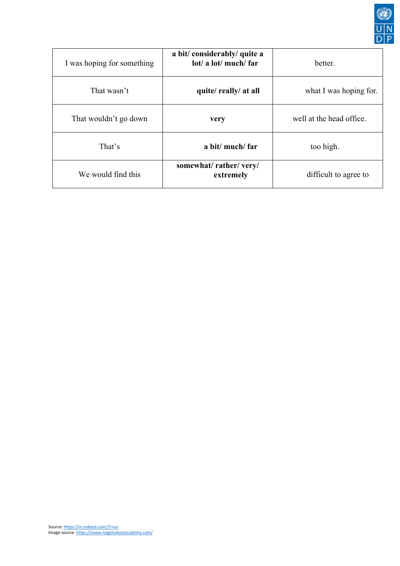

| I was hoping for something | a bit/considerably/quite a<br>lot/ a lot/ much/ far | better.                  |
|----------------------------|-----------------------------------------------------|--------------------------|
| That wasn't                | quite/really/at all                                 | what I was hoping for.   |
| That wouldn't go down      | very                                                | well at the head office. |
| That's                     | a bit/ much/ far                                    | too high.                |
| We would find this         | somewhat/rather/very/<br>extremely                  | difficult to agree to    |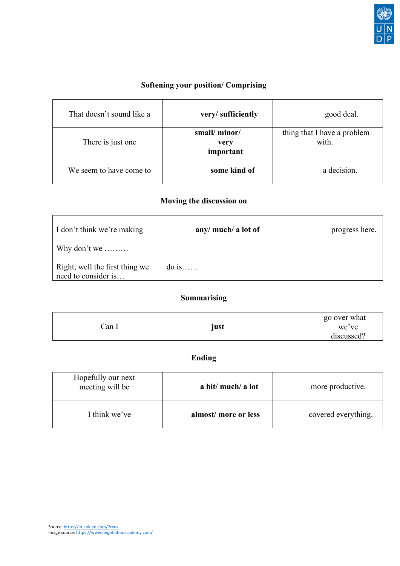

# **Softening your position/ Comprising**

| That doesn't sound like a | very/sufficiently                 | good deal.                           |
|---------------------------|-----------------------------------|--------------------------------------|
| There is just one         | small/minor/<br>very<br>important | thing that I have a problem<br>with. |
| We seem to have come to   | some kind of                      | a decision.                          |

# **Moving the discussion on**

| I don't think we're making                            | any/ much/ a lot of | progress here. |
|-------------------------------------------------------|---------------------|----------------|
| Why don't we                                          |                     |                |
| Right, well the first thing we<br>need to consider is | $\phi$ is           |                |

# **Summarising**

|       |      | go over what |
|-------|------|--------------|
| ∵an 1 | just | we've        |
|       |      | discussed?   |

# **Ending**

| Hopefully our next<br>meeting will be | a bit/ much/ a lot  | more productive.    |
|---------------------------------------|---------------------|---------------------|
| I think we've                         | almost/more or less | covered everything. |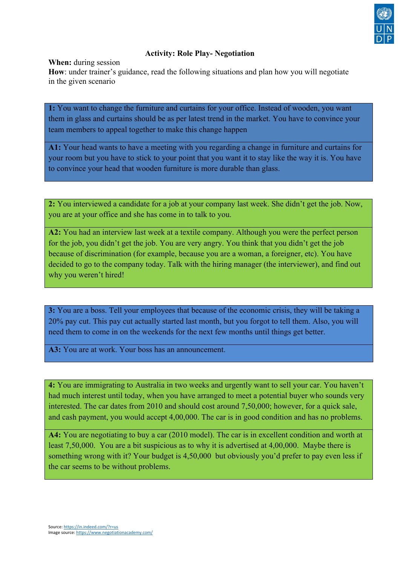

## **Activity: Role Play- Negotiation**

**When:** during session

**How**: under trainer's guidance, read the following situations and plan how you will negotiate in the given scenario

**1:** You want to change the furniture and curtains for your office. Instead of wooden, you want them in glass and curtains should be as per latest trend in the market. You have to convince your team members to appeal together to make this change happen

**A1:** Your head wants to have a meeting with you regarding a change in furniture and curtains for your room but you have to stick to your point that you want it to stay like the way it is. You have to convince your head that wooden furniture is more durable than glass.

**2:** You interviewed a candidate for a job at your company last week. She didn't get the job. Now, you are at your office and she has come in to talk to you.

**A2:** You had an interview last week at a textile company. Although you were the perfect person for the job, you didn't get the job. You are very angry. You think that you didn't get the job because of discrimination (for example, because you are a woman, a foreigner, etc). You have decided to go to the company today. Talk with the hiring manager (the interviewer), and find out why you weren't hired!

**3:** You are a boss. Tell your employees that because of the economic crisis, they will be taking a 20% pay cut. This pay cut actually started last month, but you forgot to tell them. Also, you will need them to come in on the weekends for the next few months until things get better.

**A3:** You are at work. Your boss has an announcement.

**4:** You are immigrating to Australia in two weeks and urgently want to sell your car. You haven't had much interest until today, when you have arranged to meet a potential buyer who sounds very interested. The car dates from 2010 and should cost around 7,50,000; however, for a quick sale, and cash payment, you would accept 4,00,000. The car is in good condition and has no problems.

**A4:** You are negotiating to buy a car (2010 model). The car is in excellent condition and worth at least 7,50,000. You are a bit suspicious as to why it is advertised at 4,00,000. Maybe there is something wrong with it? Your budget is 4,50,000 but obviously you'd prefer to pay even less if the car seems to be without problems.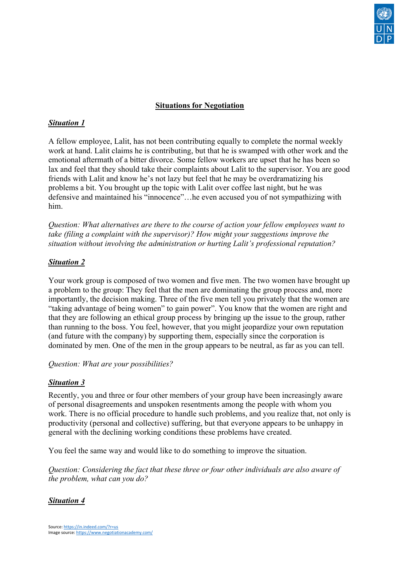

## **Situations for Negotiation**

#### *Situation 1*

A fellow employee, Lalit, has not been contributing equally to complete the normal weekly work at hand. Lalit claims he is contributing, but that he is swamped with other work and the emotional aftermath of a bitter divorce. Some fellow workers are upset that he has been so lax and feel that they should take their complaints about Lalit to the supervisor. You are good friends with Lalit and know he's not lazy but feel that he may be overdramatizing his problems a bit. You brought up the topic with Lalit over coffee last night, but he was defensive and maintained his "innocence"…he even accused you of not sympathizing with him.

*Question: What alternatives are there to the course of action your fellow employees want to take (filing a complaint with the supervisor)? How might your suggestions improve the situation without involving the administration or hurting Lalit's professional reputation?*

### *Situation 2*

Your work group is composed of two women and five men. The two women have brought up a problem to the group: They feel that the men are dominating the group process and, more importantly, the decision making. Three of the five men tell you privately that the women are "taking advantage of being women" to gain power". You know that the women are right and that they are following an ethical group process by bringing up the issue to the group, rather than running to the boss. You feel, however, that you might jeopardize your own reputation (and future with the company) by supporting them, especially since the corporation is dominated by men. One of the men in the group appears to be neutral, as far as you can tell.

*Question: What are your possibilities?*

### *Situation 3*

Recently, you and three or four other members of your group have been increasingly aware of personal disagreements and unspoken resentments among the people with whom you work. There is no official procedure to handle such problems, and you realize that, not only is productivity (personal and collective) suffering, but that everyone appears to be unhappy in general with the declining working conditions these problems have created.

You feel the same way and would like to do something to improve the situation.

*Question: Considering the fact that these three or four other individuals are also aware of the problem, what can you do?*

### *Situation 4*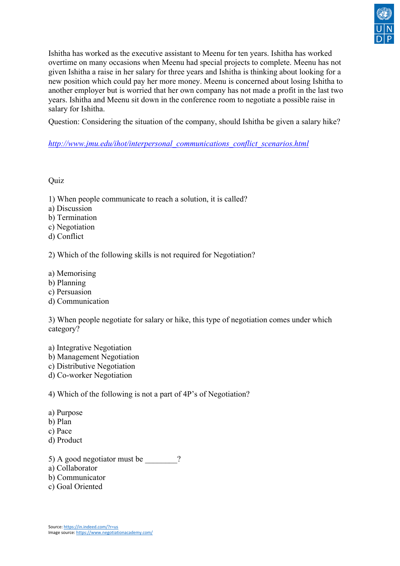

Ishitha has worked as the executive assistant to Meenu for ten years. Ishitha has worked overtime on many occasions when Meenu had special projects to complete. Meenu has not given Ishitha a raise in her salary for three years and Ishitha is thinking about looking for a new position which could pay her more money. Meenu is concerned about losing Ishitha to another employer but is worried that her own company has not made a profit in the last two years. Ishitha and Meenu sit down in the conference room to negotiate a possible raise in salary for Ishitha.

Question: Considering the situation of the company, should Ishitha be given a salary hike?

## *[http://www.jmu.edu/ihot/interpersonal\\_communications\\_conflict\\_scenarios.html](http://www.jmu.edu/ihot/interpersonal_communications_conflict_scenarios.html)*

### **Ouiz**

- 1) When people communicate to reach a solution, it is called?
- a) Discussion
- b) Termination
- c) Negotiation
- d) Conflict

2) Which of the following skills is not required for Negotiation?

- a) Memorising
- b) Planning
- c) Persuasion
- d) Communication

3) When people negotiate for salary or hike, this type of negotiation comes under which category?

a) Integrative Negotiation b) Management Negotiation c) Distributive Negotiation d) Co-worker Negotiation

4) Which of the following is not a part of 4P's of Negotiation?

- a) Purpose
- b) Plan
- c) Pace
- d) Product

5) A good negotiator must be  $\overline{?}$ 

- a) Collaborator
- b) Communicator
- c) Goal Oriented